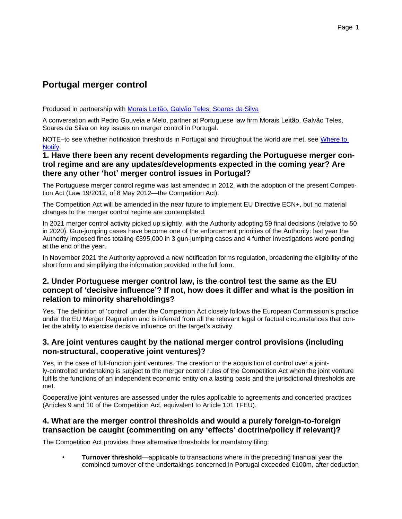# **Portugal merger control**

Produced in partnership with [Morais Leitão, Galvão Teles, Soares da Silva](http://lexisnexis.co.uk/en-uk/practice-areas/competition-experts.page)

A conversation with Pedro Gouveia e Melo, partner at Portuguese law firm Morais Leitão, Galvão Teles, Soares da Silva on key issues on merger control in Portugal.

NOTE-to see whether notification thresholds in Portugal and throughout the world are met, see Where to [Notify.](http://lexiswheretonotify.co.uk/merger)

### **1. Have there been any recent developments regarding the Portuguese merger control regime and are any updates/developments expected in the coming year? Are there any other 'hot' merger control issues in Portugal?**

The Portuguese merger control regime was last amended in 2012, with the adoption of the present Competition Act (Law 19/2012, of 8 May 2012—the Competition Act).

The Competition Act will be amended in the near future to implement EU Directive ECN+, but no material changes to the merger control regime are contemplated.

In 2021 merger control activity picked up slightly, with the Authority adopting 59 final decisions (relative to 50 in 2020). Gun-jumping cases have become one of the enforcement priorities of the Authority: last year the Authority imposed fines totaling €395,000 in 3 gun-jumping cases and 4 further investigations were pending at the end of the year.

In November 2021 the Authority approved a new notification forms regulation, broadening the eligibility of the short form and simplifying the information provided in the full form.

# **2. Under Portuguese merger control law, is the control test the same as the EU concept of 'decisive influence'? If not, how does it differ and what is the position in relation to minority shareholdings?**

Yes. The definition of 'control' under the Competition Act closely follows the European Commission's practice under the EU Merger Regulation and is inferred from all the relevant legal or factual circumstances that confer the ability to exercise decisive influence on the target's activity.

### **3. Are joint ventures caught by the national merger control provisions (including non-structural, cooperative joint ventures)?**

Yes, in the case of full-function joint ventures. The creation or the acquisition of control over a jointly-controlled undertaking is subject to the merger control rules of the Competition Act when the joint venture fulfils the functions of an independent economic entity on a lasting basis and the jurisdictional thresholds are met.

Cooperative joint ventures are assessed under the rules applicable to agreements and concerted practices (Articles 9 and 10 of the Competition Act, equivalent to Article 101 TFEU).

### **4. What are the merger control thresholds and would a purely foreign-to-foreign transaction be caught (commenting on any 'effects' doctrine/policy if relevant)?**

The Competition Act provides three alternative thresholds for mandatory filing:

• **Turnover threshold**—applicable to transactions where in the preceding financial year the combined turnover of the undertakings concerned in Portugal exceeded €100m, after deduction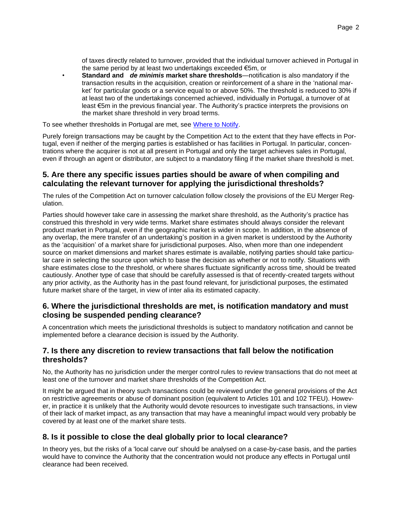of taxes directly related to turnover, provided that the individual turnover achieved in Portugal in the same period by at least two undertakings exceeded €5m, or

• **Standard and** *de minimis* **market share thresholds**—notification is also mandatory if the transaction results in the acquisition, creation or reinforcement of a share in the 'national market' for particular goods or a service equal to or above 50%. The threshold is reduced to 30% if at least two of the undertakings concerned achieved, individually in Portugal, a turnover of at least €5m in the previous financial year. The Authority's practice interprets the provisions on the market share threshold in very broad terms.

To see whether thresholds in Portugal are met, see [Where to Notify.](http://lexiswheretonotify.co.uk/merger)

Purely foreign transactions may be caught by the Competition Act to the extent that they have effects in Portugal, even if neither of the merging parties is established or has facilities in Portugal. In particular, concentrations where the acquirer is not at all present in Portugal and only the target achieves sales in Portugal, even if through an agent or distributor, are subject to a mandatory filing if the market share threshold is met.

#### **5. Are there any specific issues parties should be aware of when compiling and calculating the relevant turnover for applying the jurisdictional thresholds?**

The rules of the Competition Act on turnover calculation follow closely the provisions of the EU Merger Regulation.

Parties should however take care in assessing the market share threshold, as the Authority's practice has construed this threshold in very wide terms. Market share estimates should always consider the relevant product market in Portugal, even if the geographic market is wider in scope. In addition, in the absence of any overlap, the mere transfer of an undertaking's position in a given market is understood by the Authority as the 'acquisition' of a market share for jurisdictional purposes. Also, when more than one independent source on market dimensions and market shares estimate is available, notifying parties should take particular care in selecting the source upon which to base the decision as whether or not to notify. Situations with share estimates close to the threshold, or where shares fluctuate significantly across time, should be treated cautiously. Another type of case that should be carefully assessed is that of recently-created targets without any prior activity, as the Authority has in the past found relevant, for jurisdictional purposes, the estimated future market share of the target, in view of inter alia its estimated capacity.

### **6. Where the jurisdictional thresholds are met, is notification mandatory and must closing be suspended pending clearance?**

A concentration which meets the jurisdictional thresholds is subject to mandatory notification and cannot be implemented before a clearance decision is issued by the Authority.

### **7. Is there any discretion to review transactions that fall below the notification thresholds?**

No, the Authority has no jurisdiction under the merger control rules to review transactions that do not meet at least one of the turnover and market share thresholds of the Competition Act.

It might be argued that in theory such transactions could be reviewed under the general provisions of the Act on restrictive agreements or abuse of dominant position (equivalent to Articles 101 and 102 TFEU). However, in practice it is unlikely that the Authority would devote resources to investigate such transactions, in view of their lack of market impact, as any transaction that may have a meaningful impact would very probably be covered by at least one of the market share tests.

# **8. Is it possible to close the deal globally prior to local clearance?**

In theory yes, but the risks of a 'local carve out' should be analysed on a case-by-case basis, and the parties would have to convince the Authority that the concentration would not produce any effects in Portugal until clearance had been received.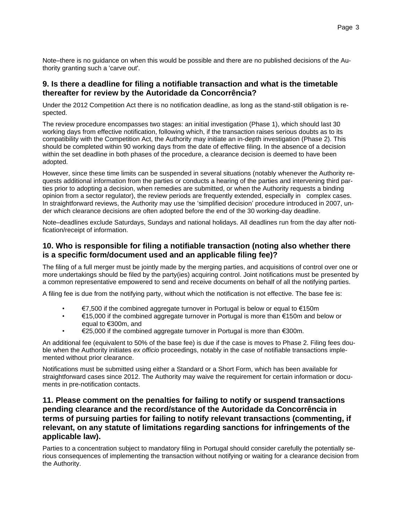Note–there is no guidance on when this would be possible and there are no published decisions of the Authority granting such a 'carve out'.

#### **9. Is there a deadline for filing a notifiable transaction and what is the timetable thereafter for review by the Autoridade da Concorrência?**

Under the 2012 Competition Act there is no notification deadline, as long as the stand-still obligation is respected.

The review procedure encompasses two stages: an initial investigation (Phase 1), which should last 30 working days from effective notification, following which, if the transaction raises serious doubts as to its compatibility with the Competition Act, the Authority may initiate an in-depth investigation (Phase 2). This should be completed within 90 working days from the date of effective filing. In the absence of a decision within the set deadline in both phases of the procedure, a clearance decision is deemed to have been adopted.

However, since these time limits can be suspended in several situations (notably whenever the Authority requests additional information from the parties or conducts a hearing of the parties and intervening third parties prior to adopting a decision, when remedies are submitted, or when the Authority requests a binding opinion from a sector regulator), the review periods are frequently extended, especially in complex cases. In straightforward reviews, the Authority may use the 'simplified decision' procedure introduced in 2007, under which clearance decisions are often adopted before the end of the 30 working-day deadline.

Note–deadlines exclude Saturdays, Sundays and national holidays. All deadlines run from the day after notification/receipt of information.

### **10. Who is responsible for filing a notifiable transaction (noting also whether there is a specific form/document used and an applicable filing fee)?**

The filing of a full merger must be jointly made by the merging parties, and acquisitions of control over one or more undertakings should be filed by the party(ies) acquiring control. Joint notifications must be presented by a common representative empowered to send and receive documents on behalf of all the notifying parties.

A filing fee is due from the notifying party, without which the notification is not effective. The base fee is:

- $€7,500$  if the combined aggregate turnover in Portugal is below or equal to  $€150m$
- €15,000 if the combined aggregate turnover in Portugal is more than €150m and below or equal to €300m, and
- €25,000 if the combined aggregate turnover in Portugal is more than €300m.

An additional fee (equivalent to 50% of the base fee) is due if the case is moves to Phase 2. Filing fees double when the Authority initiates *ex officio* proceedings, notably in the case of notifiable transactions implemented without prior clearance.

Notifications must be submitted using either a Standard or a Short Form, which has been available for straightforward cases since 2012. The Authority may waive the requirement for certain information or documents in pre-notification contacts.

### **11. Please comment on the penalties for failing to notify or suspend transactions pending clearance and the record/stance of the Autoridade da Concorrência in terms of pursuing parties for failing to notify relevant transactions (commenting, if relevant, on any statute of limitations regarding sanctions for infringements of the applicable law).**

Parties to a concentration subject to mandatory filing in Portugal should consider carefully the potentially serious consequences of implementing the transaction without notifying or waiting for a clearance decision from the Authority.